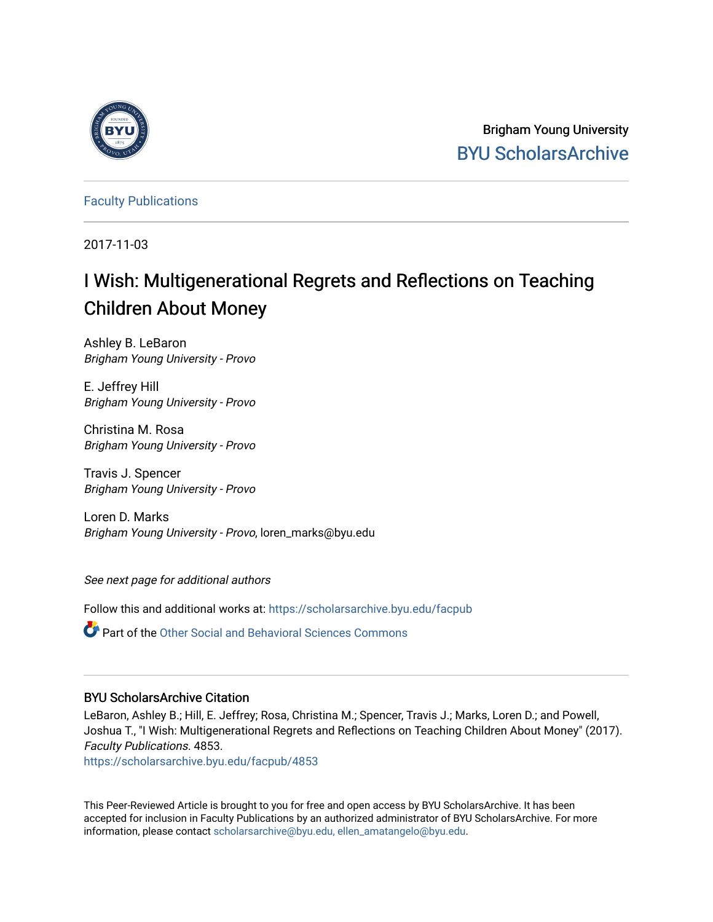

Brigham Young University [BYU ScholarsArchive](https://scholarsarchive.byu.edu/) 

[Faculty Publications](https://scholarsarchive.byu.edu/facpub)

2017-11-03

## I Wish: Multigenerational Regrets and Reflections on Teaching Children About Money

Ashley B. LeBaron Brigham Young University - Provo

E. Jeffrey Hill Brigham Young University - Provo

Christina M. Rosa Brigham Young University - Provo

Travis J. Spencer Brigham Young University - Provo

Loren D. Marks Brigham Young University - Provo, loren\_marks@byu.edu

See next page for additional authors

Follow this and additional works at: [https://scholarsarchive.byu.edu/facpub](https://scholarsarchive.byu.edu/facpub?utm_source=scholarsarchive.byu.edu%2Ffacpub%2F4853&utm_medium=PDF&utm_campaign=PDFCoverPages) 

Part of the [Other Social and Behavioral Sciences Commons](http://network.bepress.com/hgg/discipline/437?utm_source=scholarsarchive.byu.edu%2Ffacpub%2F4853&utm_medium=PDF&utm_campaign=PDFCoverPages)

#### BYU ScholarsArchive Citation

LeBaron, Ashley B.; Hill, E. Jeffrey; Rosa, Christina M.; Spencer, Travis J.; Marks, Loren D.; and Powell, Joshua T., "I Wish: Multigenerational Regrets and Reflections on Teaching Children About Money" (2017). Faculty Publications. 4853.

[https://scholarsarchive.byu.edu/facpub/4853](https://scholarsarchive.byu.edu/facpub/4853?utm_source=scholarsarchive.byu.edu%2Ffacpub%2F4853&utm_medium=PDF&utm_campaign=PDFCoverPages)

This Peer-Reviewed Article is brought to you for free and open access by BYU ScholarsArchive. It has been accepted for inclusion in Faculty Publications by an authorized administrator of BYU ScholarsArchive. For more information, please contact [scholarsarchive@byu.edu, ellen\\_amatangelo@byu.edu.](mailto:scholarsarchive@byu.edu,%20ellen_amatangelo@byu.edu)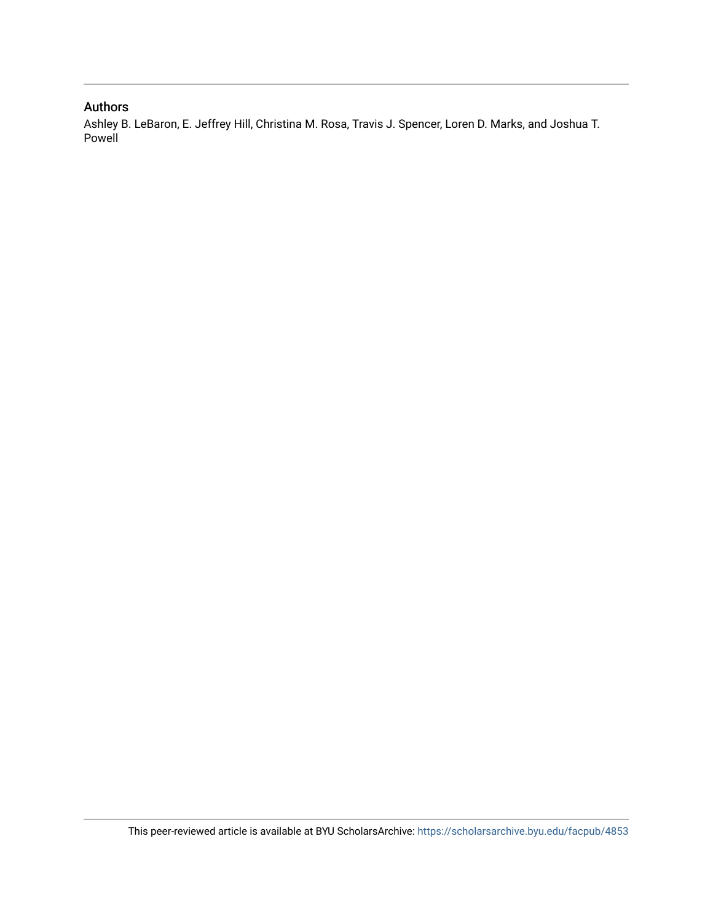#### Authors

Ashley B. LeBaron, E. Jeffrey Hill, Christina M. Rosa, Travis J. Spencer, Loren D. Marks, and Joshua T. Powell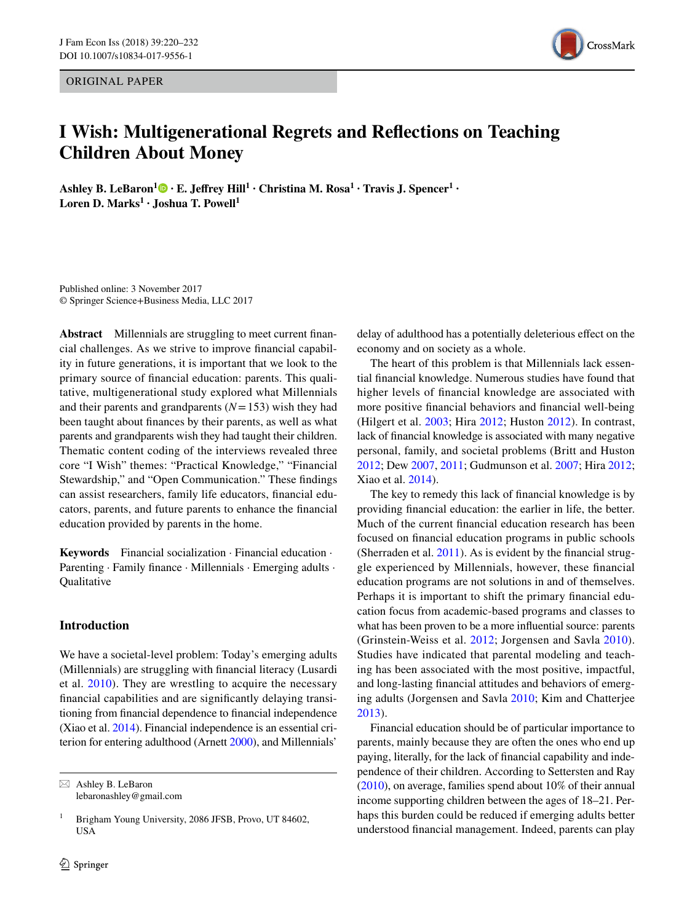ORIGINAL PAPER

# CrossMark

### **I Wish: Multigenerational Regrets and Reflections on Teaching Children About Money**

**Ashley B. LeBaron<sup>1</sup> · E. Jeffrey Hill<sup>1</sup> · Christina M. Rosa<sup>1</sup> · Travis J. Spencer1 · Loren D. Marks<sup>1</sup> · Joshua T. Powell1**

Published online: 3 November 2017 © Springer Science+Business Media, LLC 2017

**Abstract** Millennials are struggling to meet current financial challenges. As we strive to improve financial capability in future generations, it is important that we look to the primary source of financial education: parents. This qualitative, multigenerational study explored what Millennials and their parents and grandparents  $(N=153)$  wish they had been taught about finances by their parents, as well as what parents and grandparents wish they had taught their children. Thematic content coding of the interviews revealed three core "I Wish" themes: "Practical Knowledge," "Financial Stewardship," and "Open Communication." These findings can assist researchers, family life educators, financial educators, parents, and future parents to enhance the financial education provided by parents in the home.

**Keywords** Financial socialization · Financial education · Parenting · Family finance · Millennials · Emerging adults · **Oualitative** 

#### **Introduction**

We have a societal-level problem: Today's emerging adults (Millennials) are struggling with financial literacy (Lusardi et al. [2010\)](#page-14-5). They are wrestling to acquire the necessary financial capabilities and are significantly delaying transitioning from financial dependence to financial independence (Xiao et al. [2014](#page-14-0)). Financial independence is an essential criterion for entering adulthood (Arnett [2000\)](#page-13-8), and Millennials'

 $\boxtimes$  Ashley B. LeBaron lebaronashley@gmail.com delay of adulthood has a potentially deleterious effect on the economy and on society as a whole.

The heart of this problem is that Millennials lack essential financial knowledge. Numerous studies have found that higher levels of financial knowledge are associated with more positive financial behaviors and financial well-being (Hilgert et al. [2003;](#page-13-0) Hira [2012](#page-13-1); Huston [2012](#page-13-2)). In contrast, lack of financial knowledge is associated with many negative personal, family, and societal problems (Britt and Huston [2012](#page-13-3); Dew [2007,](#page-13-4) [2011;](#page-13-5) Gudmunson et al. [2007](#page-13-6); Hira [2012](#page-13-1); Xiao et al. [2014](#page-14-0)).

The key to remedy this lack of financial knowledge is by providing financial education: the earlier in life, the better. Much of the current financial education research has been focused on financial education programs in public schools (Sherraden et al. [2011](#page-14-1)). As is evident by the financial struggle experienced by Millennials, however, these financial education programs are not solutions in and of themselves. Perhaps it is important to shift the primary financial education focus from academic-based programs and classes to what has been proven to be a more influential source: parents (Grinstein-Weiss et al. [2012;](#page-13-7) Jorgensen and Savla [2010](#page-14-2)). Studies have indicated that parental modeling and teaching has been associated with the most positive, impactful, and long-lasting financial attitudes and behaviors of emerging adults (Jorgensen and Savla [2010](#page-14-2); Kim and Chatterjee [2013](#page-14-3)).

Financial education should be of particular importance to parents, mainly because they are often the ones who end up paying, literally, for the lack of financial capability and independence of their children. According to Settersten and Ray [\(2010](#page-14-4)), on average, families spend about 10% of their annual income supporting children between the ages of 18–21. Perhaps this burden could be reduced if emerging adults better understood financial management. Indeed, parents can play

<sup>&</sup>lt;sup>1</sup> Brigham Young University, 2086 JFSB, Provo, UT 84602, USA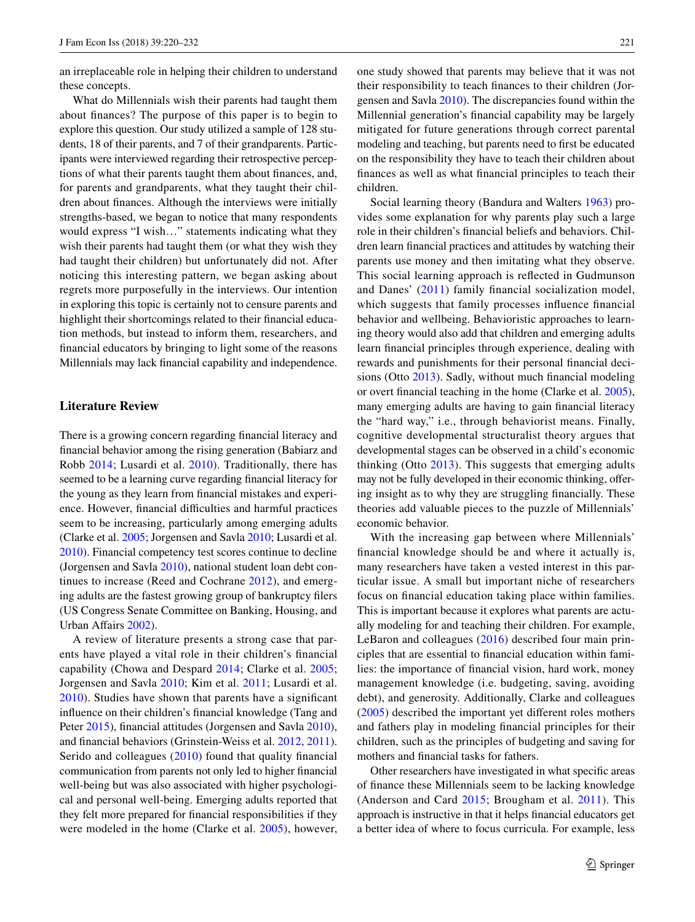an irreplaceable role in helping their children to understand these concepts.

What do Millennials wish their parents had taught them about finances? The purpose of this paper is to begin to explore this question. Our study utilized a sample of 128 students, 18 of their parents, and 7 of their grandparents. Participants were interviewed regarding their retrospective perceptions of what their parents taught them about finances, and, for parents and grandparents, what they taught their children about finances. Although the interviews were initially strengths-based, we began to notice that many respondents would express "I wish…" statements indicating what they wish their parents had taught them (or what they wish they had taught their children) but unfortunately did not. After noticing this interesting pattern, we began asking about regrets more purposefully in the interviews. Our intention in exploring this topic is certainly not to censure parents and highlight their shortcomings related to their financial education methods, but instead to inform them, researchers, and financial educators by bringing to light some of the reasons Millennials may lack financial capability and independence.

#### **Literature Review**

There is a growing concern regarding financial literacy and financial behavior among the rising generation (Babiarz and Robb [2014;](#page-13-9) Lusardi et al. [2010\)](#page-14-5). Traditionally, there has seemed to be a learning curve regarding financial literacy for the young as they learn from financial mistakes and experience. However, financial difficulties and harmful practices seem to be increasing, particularly among emerging adults (Clarke et al. [2005;](#page-13-10) Jorgensen and Savla [2010](#page-14-2); Lusardi et al. [2010](#page-14-5)). Financial competency test scores continue to decline (Jorgensen and Savla [2010\)](#page-14-2), national student loan debt continues to increase (Reed and Cochrane [2012\)](#page-14-6), and emerging adults are the fastest growing group of bankruptcy filers (US Congress Senate Committee on Banking, Housing, and Urban Affairs [2002](#page-14-7)).

A review of literature presents a strong case that parents have played a vital role in their children's financial capability (Chowa and Despard [2014;](#page-13-11) Clarke et al. [2005](#page-13-10); Jorgensen and Savla [2010](#page-14-2); Kim et al. [2011;](#page-14-8) Lusardi et al. [2010\)](#page-14-5). Studies have shown that parents have a significant influence on their children's financial knowledge (Tang and Peter [2015](#page-14-9)), financial attitudes (Jorgensen and Savla [2010](#page-14-2)), and financial behaviors (Grinstein-Weiss et al. [2012](#page-13-7), [2011](#page-13-12)). Serido and colleagues [\(2010\)](#page-14-10) found that quality financial communication from parents not only led to higher financial well-being but was also associated with higher psychological and personal well-being. Emerging adults reported that they felt more prepared for financial responsibilities if they were modeled in the home (Clarke et al. [2005](#page-13-10)), however,

one study showed that parents may believe that it was not their responsibility to teach finances to their children (Jorgensen and Savla [2010\)](#page-14-2). The discrepancies found within the Millennial generation's financial capability may be largely mitigated for future generations through correct parental modeling and teaching, but parents need to first be educated on the responsibility they have to teach their children about finances as well as what financial principles to teach their children.

Social learning theory (Bandura and Walters [1963](#page-13-13)) provides some explanation for why parents play such a large role in their children's financial beliefs and behaviors. Children learn financial practices and attitudes by watching their parents use money and then imitating what they observe. This social learning approach is reflected in Gudmunson and Danes' ([2011\)](#page-13-14) family financial socialization model, which suggests that family processes influence financial behavior and wellbeing. Behavioristic approaches to learning theory would also add that children and emerging adults learn financial principles through experience, dealing with rewards and punishments for their personal financial decisions (Otto [2013\)](#page-14-11). Sadly, without much financial modeling or overt financial teaching in the home (Clarke et al. [2005](#page-13-10)), many emerging adults are having to gain financial literacy the "hard way," i.e., through behaviorist means. Finally, cognitive developmental structuralist theory argues that developmental stages can be observed in a child's economic thinking (Otto [2013\)](#page-14-11). This suggests that emerging adults may not be fully developed in their economic thinking, offering insight as to why they are struggling financially. These theories add valuable pieces to the puzzle of Millennials' economic behavior.

With the increasing gap between where Millennials' financial knowledge should be and where it actually is, many researchers have taken a vested interest in this particular issue. A small but important niche of researchers focus on financial education taking place within families. This is important because it explores what parents are actually modeling for and teaching their children. For example, LeBaron and colleagues ([2016](#page-14-12)) described four main principles that are essential to financial education within families: the importance of financial vision, hard work, money management knowledge (i.e. budgeting, saving, avoiding debt), and generosity. Additionally, Clarke and colleagues ([2005\)](#page-13-10) described the important yet different roles mothers and fathers play in modeling financial principles for their children, such as the principles of budgeting and saving for mothers and financial tasks for fathers.

Other researchers have investigated in what specific areas of finance these Millennials seem to be lacking knowledge (Anderson and Card [2015;](#page-13-15) Brougham et al. [2011](#page-13-16)). This approach is instructive in that it helps financial educators get a better idea of where to focus curricula. For example, less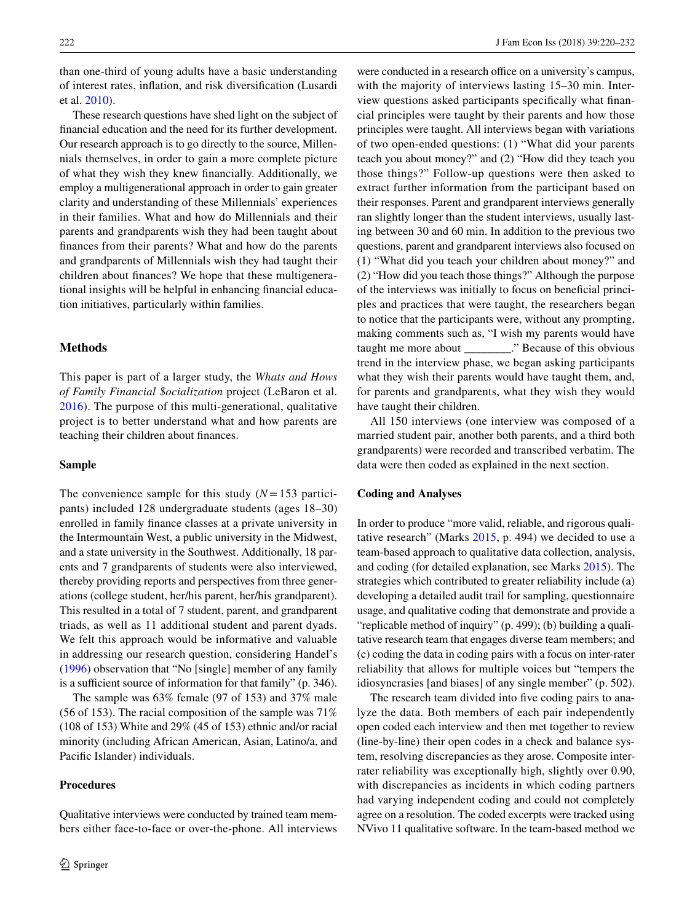than one-third of young adults have a basic understanding of interest rates, inflation, and risk diversification (Lusardi et al. [2010](#page-14-5)).

These research questions have shed light on the subject of financial education and the need for its further development. Our research approach is to go directly to the source, Millennials themselves, in order to gain a more complete picture of what they wish they knew financially. Additionally, we employ a multigenerational approach in order to gain greater clarity and understanding of these Millennials' experiences in their families. What and how do Millennials and their parents and grandparents wish they had been taught about finances from their parents? What and how do the parents and grandparents of Millennials wish they had taught their children about finances? We hope that these multigenerational insights will be helpful in enhancing financial education initiatives, particularly within families.

#### **Methods**

This paper is part of a larger study, the *Whats and Hows of Family Financial \$ocialization* project (LeBaron et al. [2016\)](#page-14-12). The purpose of this multi-generational, qualitative project is to better understand what and how parents are teaching their children about finances.

#### **Sample**

The convenience sample for this study  $(N = 153$  participants) included 128 undergraduate students (ages 18–30) enrolled in family finance classes at a private university in the Intermountain West, a public university in the Midwest, and a state university in the Southwest. Additionally, 18 parents and 7 grandparents of students were also interviewed, thereby providing reports and perspectives from three generations (college student, her/his parent, her/his grandparent). This resulted in a total of 7 student, parent, and grandparent triads, as well as 11 additional student and parent dyads. We felt this approach would be informative and valuable in addressing our research question, considering Handel's [\(1996\)](#page-13-17) observation that "No [single] member of any family is a sufficient source of information for that family" (p. 346).

The sample was 63% female (97 of 153) and 37% male (56 of 153). The racial composition of the sample was 71% (108 of 153) White and 29% (45 of 153) ethnic and/or racial minority (including African American, Asian, Latino/a, and Pacific Islander) individuals.

#### **Procedures**

Qualitative interviews were conducted by trained team members either face-to-face or over-the-phone. All interviews were conducted in a research office on a university's campus, with the majority of interviews lasting 15–30 min. Interview questions asked participants specifically what financial principles were taught by their parents and how those principles were taught. All interviews began with variations of two open-ended questions: (1) "What did your parents teach you about money?" and (2) "How did they teach you those things?" Follow-up questions were then asked to extract further information from the participant based on their responses. Parent and grandparent interviews generally ran slightly longer than the student interviews, usually lasting between 30 and 60 min. In addition to the previous two questions, parent and grandparent interviews also focused on (1) "What did you teach your children about money?" and (2) "How did you teach those things?" Although the purpose of the interviews was initially to focus on beneficial principles and practices that were taught, the researchers began to notice that the participants were, without any prompting, making comments such as, "I wish my parents would have taught me more about \_\_\_\_\_\_\_\_." Because of this obvious trend in the interview phase, we began asking participants what they wish their parents would have taught them, and, for parents and grandparents, what they wish they would have taught their children.

All 150 interviews (one interview was composed of a married student pair, another both parents, and a third both grandparents) were recorded and transcribed verbatim. The data were then coded as explained in the next section.

#### **Coding and Analyses**

In order to produce "more valid, reliable, and rigorous qualitative research" (Marks [2015,](#page-14-13) p. 494) we decided to use a team-based approach to qualitative data collection, analysis, and coding (for detailed explanation, see Marks [2015](#page-14-13)). The strategies which contributed to greater reliability include (a) developing a detailed audit trail for sampling, questionnaire usage, and qualitative coding that demonstrate and provide a "replicable method of inquiry" (p. 499); (b) building a qualitative research team that engages diverse team members; and (c) coding the data in coding pairs with a focus on inter-rater reliability that allows for multiple voices but "tempers the idiosyncrasies [and biases] of any single member" (p. 502).

The research team divided into five coding pairs to analyze the data. Both members of each pair independently open coded each interview and then met together to review (line-by-line) their open codes in a check and balance system, resolving discrepancies as they arose. Composite interrater reliability was exceptionally high, slightly over 0.90, with discrepancies as incidents in which coding partners had varying independent coding and could not completely agree on a resolution. The coded excerpts were tracked using NVivo 11 qualitative software. In the team-based method we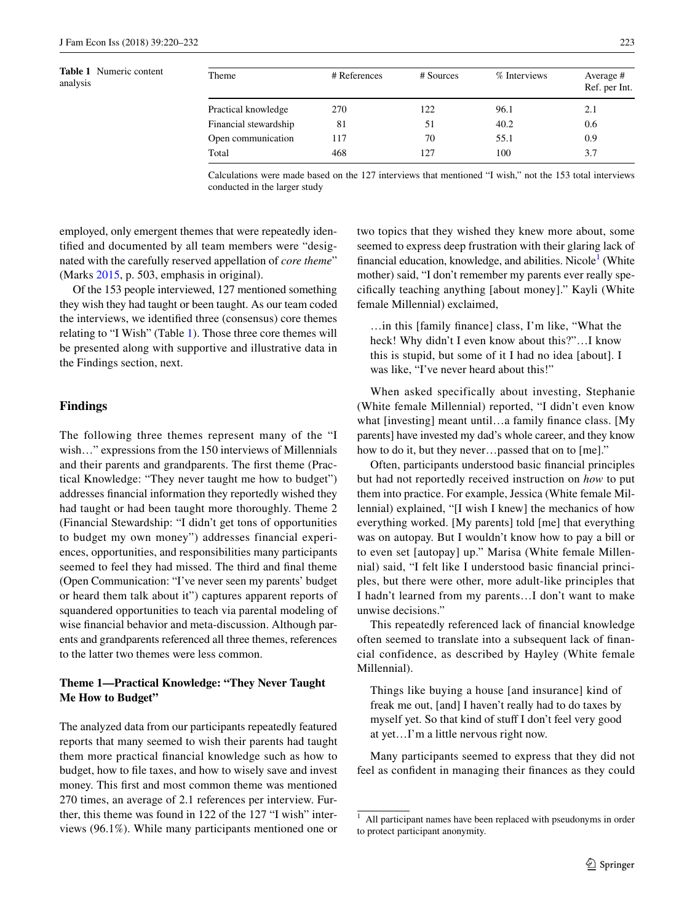<span id="page-5-0"></span>**Table 1** Numeric content analysis

| Theme                 | # References | # Sources | % Interviews | Average #<br>Ref. per Int. |
|-----------------------|--------------|-----------|--------------|----------------------------|
| Practical knowledge   | 270          | 122       | 96.1         | 2.1                        |
| Financial stewardship | 81           | 51        | 40.2         | 0.6                        |
| Open communication    | 117          | 70        | 55.1         | 0.9                        |
| Total                 | 468          | 127       | 100          | 3.7                        |

Calculations were made based on the 127 interviews that mentioned "I wish," not the 153 total interviews conducted in the larger study

employed, only emergent themes that were repeatedly identified and documented by all team members were "designated with the carefully reserved appellation of *core theme*" (Marks [2015,](#page-14-13) p. 503, emphasis in original).

Of the 153 people interviewed, 127 mentioned something they wish they had taught or been taught. As our team coded the interviews, we identified three (consensus) core themes relating to "I Wish" (Table [1](#page-5-0)). Those three core themes will be presented along with supportive and illustrative data in the Findings section, next.

#### **Findings**

The following three themes represent many of the "I wish…" expressions from the 150 interviews of Millennials and their parents and grandparents. The first theme (Practical Knowledge: "They never taught me how to budget") addresses financial information they reportedly wished they had taught or had been taught more thoroughly. Theme 2 (Financial Stewardship: "I didn't get tons of opportunities to budget my own money") addresses financial experiences, opportunities, and responsibilities many participants seemed to feel they had missed. The third and final theme (Open Communication: "I've never seen my parents' budget or heard them talk about it") captures apparent reports of squandered opportunities to teach via parental modeling of wise financial behavior and meta-discussion. Although parents and grandparents referenced all three themes, references to the latter two themes were less common.

#### **Theme 1—Practical Knowledge: "They Never Taught Me How to Budget"**

The analyzed data from our participants repeatedly featured reports that many seemed to wish their parents had taught them more practical financial knowledge such as how to budget, how to file taxes, and how to wisely save and invest money. This first and most common theme was mentioned 270 times, an average of 2.1 references per interview. Further, this theme was found in 122 of the 127 "I wish" interviews (96.1%). While many participants mentioned one or two topics that they wished they knew more about, some seemed to express deep frustration with their glaring lack of financial education, knowledge, and abilities. Nicole<sup>[1](#page-5-1)</sup> (White mother) said, "I don't remember my parents ever really specifically teaching anything [about money]." Kayli (White female Millennial) exclaimed,

…in this [family finance] class, I'm like, "What the heck! Why didn't I even know about this?"…I know this is stupid, but some of it I had no idea [about]. I was like, "I've never heard about this!"

When asked specifically about investing, Stephanie (White female Millennial) reported, "I didn't even know what [investing] meant until…a family finance class. [My parents] have invested my dad's whole career, and they know how to do it, but they never…passed that on to [me]."

Often, participants understood basic financial principles but had not reportedly received instruction on *how* to put them into practice. For example, Jessica (White female Millennial) explained, "[I wish I knew] the mechanics of how everything worked. [My parents] told [me] that everything was on autopay. But I wouldn't know how to pay a bill or to even set [autopay] up." Marisa (White female Millennial) said, "I felt like I understood basic financial principles, but there were other, more adult-like principles that I hadn't learned from my parents…I don't want to make unwise decisions."

This repeatedly referenced lack of financial knowledge often seemed to translate into a subsequent lack of financial confidence, as described by Hayley (White female Millennial).

Things like buying a house [and insurance] kind of freak me out, [and] I haven't really had to do taxes by myself yet. So that kind of stuff I don't feel very good at yet…I'm a little nervous right now.

Many participants seemed to express that they did not feel as confident in managing their finances as they could

<span id="page-5-1"></span><sup>&</sup>lt;sup>1</sup> All participant names have been replaced with pseudonyms in order to protect participant anonymity.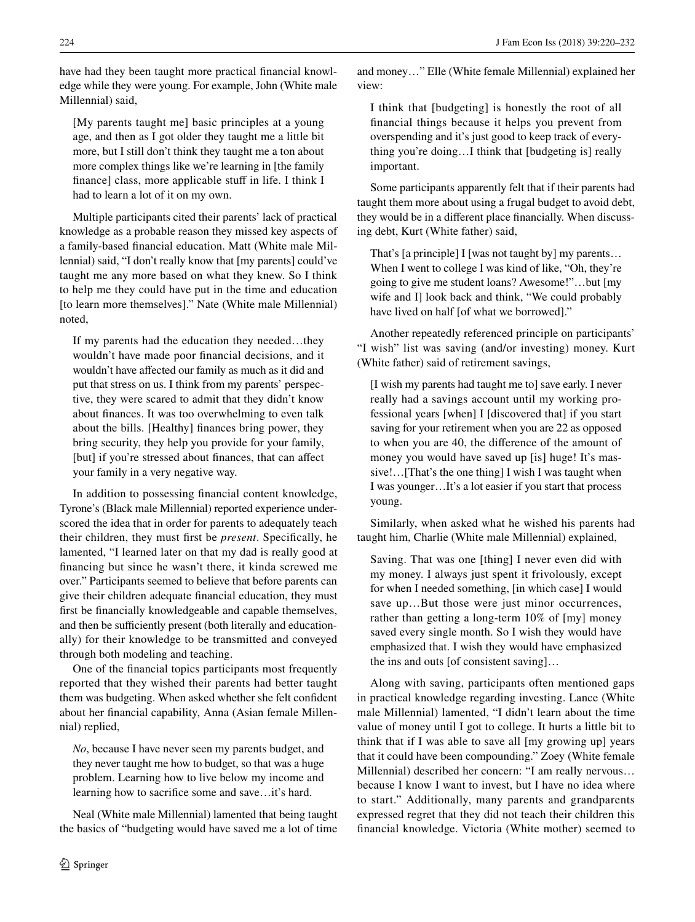have had they been taught more practical financial knowledge while they were young. For example, John (White male Millennial) said,

[My parents taught me] basic principles at a young age, and then as I got older they taught me a little bit more, but I still don't think they taught me a ton about more complex things like we're learning in [the family finance] class, more applicable stuff in life. I think I had to learn a lot of it on my own.

Multiple participants cited their parents' lack of practical knowledge as a probable reason they missed key aspects of a family-based financial education. Matt (White male Millennial) said, "I don't really know that [my parents] could've taught me any more based on what they knew. So I think to help me they could have put in the time and education [to learn more themselves]." Nate (White male Millennial) noted,

If my parents had the education they needed…they wouldn't have made poor financial decisions, and it wouldn't have affected our family as much as it did and put that stress on us. I think from my parents' perspective, they were scared to admit that they didn't know about finances. It was too overwhelming to even talk about the bills. [Healthy] finances bring power, they bring security, they help you provide for your family, [but] if you're stressed about finances, that can affect your family in a very negative way.

In addition to possessing financial content knowledge, Tyrone's (Black male Millennial) reported experience underscored the idea that in order for parents to adequately teach their children, they must first be *present*. Specifically, he lamented, "I learned later on that my dad is really good at financing but since he wasn't there, it kinda screwed me over." Participants seemed to believe that before parents can give their children adequate financial education, they must first be financially knowledgeable and capable themselves, and then be sufficiently present (both literally and educationally) for their knowledge to be transmitted and conveyed through both modeling and teaching.

One of the financial topics participants most frequently reported that they wished their parents had better taught them was budgeting. When asked whether she felt confident about her financial capability, Anna (Asian female Millennial) replied,

*No*, because I have never seen my parents budget, and they never taught me how to budget, so that was a huge problem. Learning how to live below my income and learning how to sacrifice some and save…it's hard.

Neal (White male Millennial) lamented that being taught the basics of "budgeting would have saved me a lot of time and money…" Elle (White female Millennial) explained her view:

I think that [budgeting] is honestly the root of all financial things because it helps you prevent from overspending and it's just good to keep track of everything you're doing…I think that [budgeting is] really important.

Some participants apparently felt that if their parents had taught them more about using a frugal budget to avoid debt, they would be in a different place financially. When discussing debt, Kurt (White father) said,

That's [a principle] I [was not taught by] my parents… When I went to college I was kind of like, "Oh, they're going to give me student loans? Awesome!"…but [my wife and I] look back and think, "We could probably have lived on half [of what we borrowed]."

Another repeatedly referenced principle on participants' "I wish" list was saving (and/or investing) money. Kurt (White father) said of retirement savings,

[I wish my parents had taught me to] save early. I never really had a savings account until my working professional years [when] I [discovered that] if you start saving for your retirement when you are 22 as opposed to when you are 40, the difference of the amount of money you would have saved up [is] huge! It's massive!... [That's the one thing] I wish I was taught when I was younger…It's a lot easier if you start that process young.

Similarly, when asked what he wished his parents had taught him, Charlie (White male Millennial) explained,

Saving. That was one [thing] I never even did with my money. I always just spent it frivolously, except for when I needed something, [in which case] I would save up…But those were just minor occurrences, rather than getting a long-term 10% of [my] money saved every single month. So I wish they would have emphasized that. I wish they would have emphasized the ins and outs [of consistent saving]…

Along with saving, participants often mentioned gaps in practical knowledge regarding investing. Lance (White male Millennial) lamented, "I didn't learn about the time value of money until I got to college. It hurts a little bit to think that if I was able to save all [my growing up] years that it could have been compounding." Zoey (White female Millennial) described her concern: "I am really nervous… because I know I want to invest, but I have no idea where to start." Additionally, many parents and grandparents expressed regret that they did not teach their children this financial knowledge. Victoria (White mother) seemed to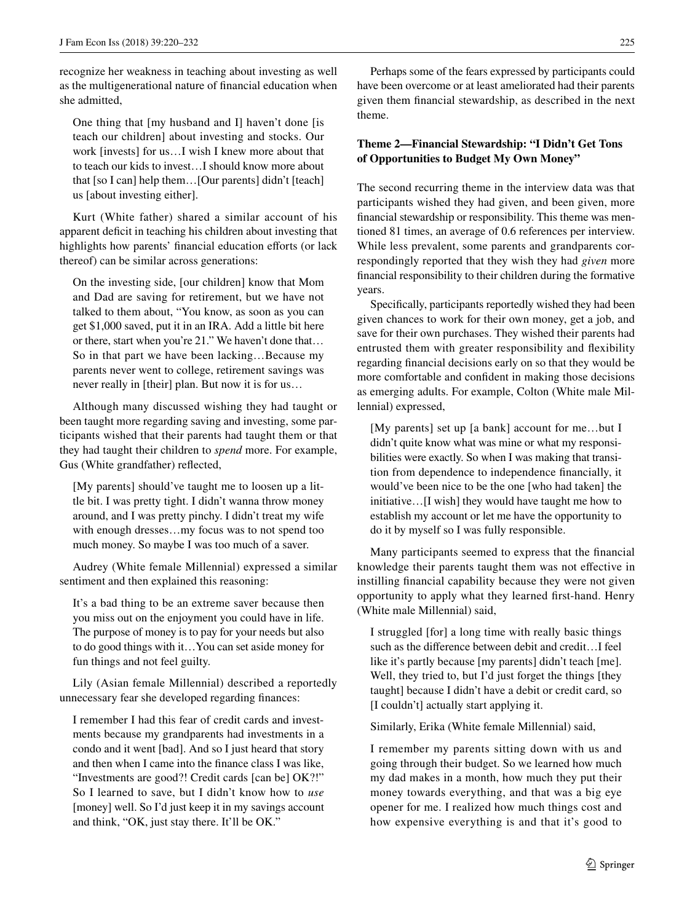recognize her weakness in teaching about investing as well as the multigenerational nature of financial education when she admitted,

One thing that [my husband and I] haven't done [is teach our children] about investing and stocks. Our work [invests] for us…I wish I knew more about that to teach our kids to invest…I should know more about that [so I can] help them…[Our parents] didn't [teach] us [about investing either].

Kurt (White father) shared a similar account of his apparent deficit in teaching his children about investing that highlights how parents' financial education efforts (or lack thereof) can be similar across generations:

On the investing side, [our children] know that Mom and Dad are saving for retirement, but we have not talked to them about, "You know, as soon as you can get \$1,000 saved, put it in an IRA. Add a little bit here or there, start when you're 21." We haven't done that… So in that part we have been lacking…Because my parents never went to college, retirement savings was never really in [their] plan. But now it is for us…

Although many discussed wishing they had taught or been taught more regarding saving and investing, some participants wished that their parents had taught them or that they had taught their children to *spend* more. For example, Gus (White grandfather) reflected,

[My parents] should've taught me to loosen up a little bit. I was pretty tight. I didn't wanna throw money around, and I was pretty pinchy. I didn't treat my wife with enough dresses…my focus was to not spend too much money. So maybe I was too much of a saver.

Audrey (White female Millennial) expressed a similar sentiment and then explained this reasoning:

It's a bad thing to be an extreme saver because then you miss out on the enjoyment you could have in life. The purpose of money is to pay for your needs but also to do good things with it…You can set aside money for fun things and not feel guilty.

Lily (Asian female Millennial) described a reportedly unnecessary fear she developed regarding finances:

I remember I had this fear of credit cards and investments because my grandparents had investments in a condo and it went [bad]. And so I just heard that story and then when I came into the finance class I was like, "Investments are good?! Credit cards [can be] OK?!" So I learned to save, but I didn't know how to *use* [money] well. So I'd just keep it in my savings account and think, "OK, just stay there. It'll be OK."

Perhaps some of the fears expressed by participants could have been overcome or at least ameliorated had their parents given them financial stewardship, as described in the next theme.

#### **Theme 2—Financial Stewardship: "I Didn't Get Tons of Opportunities to Budget My Own Money"**

The second recurring theme in the interview data was that participants wished they had given, and been given, more financial stewardship or responsibility. This theme was mentioned 81 times, an average of 0.6 references per interview. While less prevalent, some parents and grandparents correspondingly reported that they wish they had *given* more financial responsibility to their children during the formative years.

Specifically, participants reportedly wished they had been given chances to work for their own money, get a job, and save for their own purchases. They wished their parents had entrusted them with greater responsibility and flexibility regarding financial decisions early on so that they would be more comfortable and confident in making those decisions as emerging adults. For example, Colton (White male Millennial) expressed,

[My parents] set up [a bank] account for me…but I didn't quite know what was mine or what my responsibilities were exactly. So when I was making that transition from dependence to independence financially, it would've been nice to be the one [who had taken] the initiative…[I wish] they would have taught me how to establish my account or let me have the opportunity to do it by myself so I was fully responsible.

Many participants seemed to express that the financial knowledge their parents taught them was not effective in instilling financial capability because they were not given opportunity to apply what they learned first-hand. Henry (White male Millennial) said,

I struggled [for] a long time with really basic things such as the difference between debit and credit…I feel like it's partly because [my parents] didn't teach [me]. Well, they tried to, but I'd just forget the things [they taught] because I didn't have a debit or credit card, so [I couldn't] actually start applying it.

Similarly, Erika (White female Millennial) said,

I remember my parents sitting down with us and going through their budget. So we learned how much my dad makes in a month, how much they put their money towards everything, and that was a big eye opener for me. I realized how much things cost and how expensive everything is and that it's good to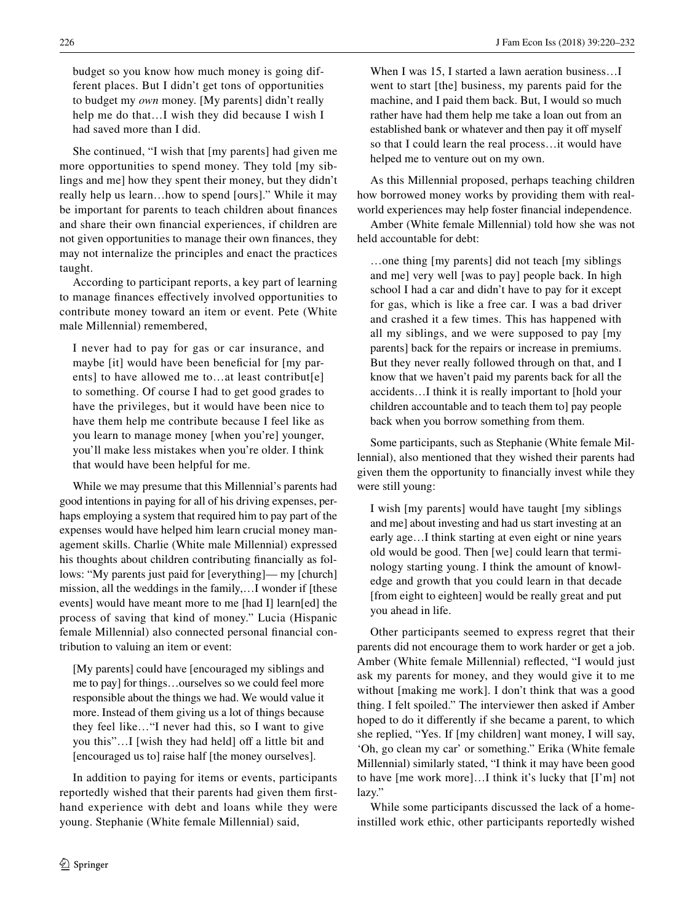budget so you know how much money is going different places. But I didn't get tons of opportunities to budget my *own* money. [My parents] didn't really help me do that…I wish they did because I wish I had saved more than I did.

She continued, "I wish that [my parents] had given me more opportunities to spend money. They told [my siblings and me] how they spent their money, but they didn't really help us learn…how to spend [ours]." While it may be important for parents to teach children about finances and share their own financial experiences, if children are not given opportunities to manage their own finances, they may not internalize the principles and enact the practices taught.

According to participant reports, a key part of learning to manage finances effectively involved opportunities to contribute money toward an item or event. Pete (White male Millennial) remembered,

I never had to pay for gas or car insurance, and maybe [it] would have been beneficial for [my parents] to have allowed me to...at least contribut[e] to something. Of course I had to get good grades to have the privileges, but it would have been nice to have them help me contribute because I feel like as you learn to manage money [when you're] younger, you'll make less mistakes when you're older. I think that would have been helpful for me.

While we may presume that this Millennial's parents had good intentions in paying for all of his driving expenses, perhaps employing a system that required him to pay part of the expenses would have helped him learn crucial money management skills. Charlie (White male Millennial) expressed his thoughts about children contributing financially as follows: "My parents just paid for [everything]— my [church] mission, all the weddings in the family,…I wonder if [these events] would have meant more to me [had I] learn[ed] the process of saving that kind of money." Lucia (Hispanic female Millennial) also connected personal financial contribution to valuing an item or event:

[My parents] could have [encouraged my siblings and me to pay] for things…ourselves so we could feel more responsible about the things we had. We would value it more. Instead of them giving us a lot of things because they feel like…"I never had this, so I want to give you this"…I [wish they had held] off a little bit and [encouraged us to] raise half [the money ourselves].

In addition to paying for items or events, participants reportedly wished that their parents had given them firsthand experience with debt and loans while they were young. Stephanie (White female Millennial) said,

When I was 15, I started a lawn aeration business…I went to start [the] business, my parents paid for the machine, and I paid them back. But, I would so much rather have had them help me take a loan out from an established bank or whatever and then pay it off myself so that I could learn the real process…it would have helped me to venture out on my own.

As this Millennial proposed, perhaps teaching children how borrowed money works by providing them with realworld experiences may help foster financial independence.

Amber (White female Millennial) told how she was not held accountable for debt:

…one thing [my parents] did not teach [my siblings and me] very well [was to pay] people back. In high school I had a car and didn't have to pay for it except for gas, which is like a free car. I was a bad driver and crashed it a few times. This has happened with all my siblings, and we were supposed to pay [my parents] back for the repairs or increase in premiums. But they never really followed through on that, and I know that we haven't paid my parents back for all the accidents…I think it is really important to [hold your children accountable and to teach them to] pay people back when you borrow something from them.

Some participants, such as Stephanie (White female Millennial), also mentioned that they wished their parents had given them the opportunity to financially invest while they were still young:

I wish [my parents] would have taught [my siblings and me] about investing and had us start investing at an early age…I think starting at even eight or nine years old would be good. Then [we] could learn that terminology starting young. I think the amount of knowledge and growth that you could learn in that decade [from eight to eighteen] would be really great and put you ahead in life.

Other participants seemed to express regret that their parents did not encourage them to work harder or get a job. Amber (White female Millennial) reflected, "I would just ask my parents for money, and they would give it to me without [making me work]. I don't think that was a good thing. I felt spoiled." The interviewer then asked if Amber hoped to do it differently if she became a parent, to which she replied, "Yes. If [my children] want money, I will say, 'Oh, go clean my car' or something." Erika (White female Millennial) similarly stated, "I think it may have been good to have [me work more]…I think it's lucky that [I'm] not lazy."

While some participants discussed the lack of a homeinstilled work ethic, other participants reportedly wished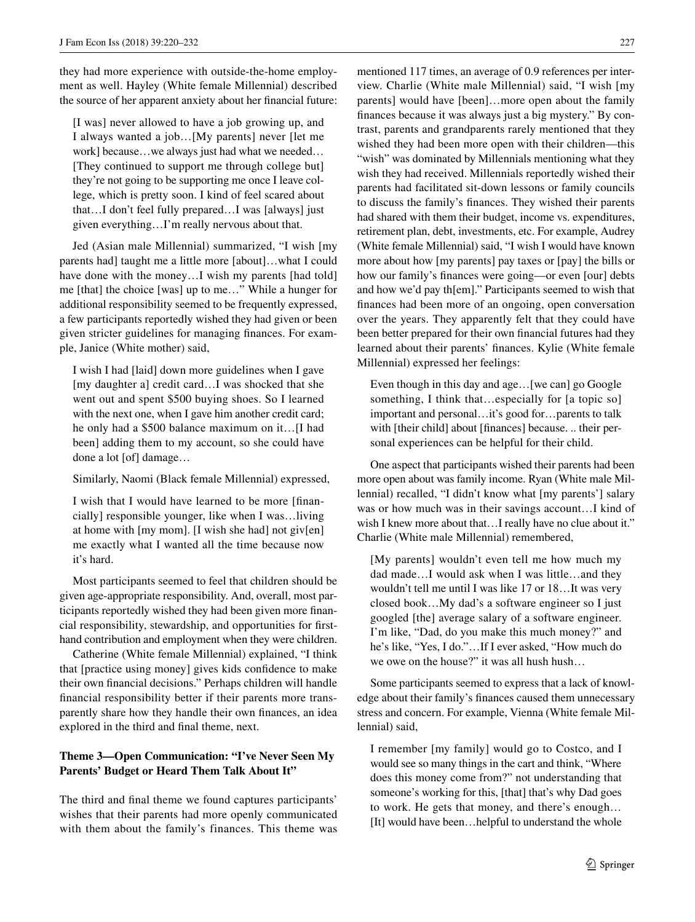they had more experience with outside-the-home employment as well. Hayley (White female Millennial) described the source of her apparent anxiety about her financial future:

[I was] never allowed to have a job growing up, and I always wanted a job…[My parents] never [let me work] because…we always just had what we needed… [They continued to support me through college but] they're not going to be supporting me once I leave college, which is pretty soon. I kind of feel scared about that…I don't feel fully prepared…I was [always] just given everything…I'm really nervous about that.

Jed (Asian male Millennial) summarized, "I wish [my parents had] taught me a little more [about]…what I could have done with the money...I wish my parents [had told] me [that] the choice [was] up to me…" While a hunger for additional responsibility seemed to be frequently expressed, a few participants reportedly wished they had given or been given stricter guidelines for managing finances. For example, Janice (White mother) said,

I wish I had [laid] down more guidelines when I gave [my daughter a] credit card...I was shocked that she went out and spent \$500 buying shoes. So I learned with the next one, when I gave him another credit card; he only had a \$500 balance maximum on it…[I had been] adding them to my account, so she could have done a lot [of] damage…

Similarly, Naomi (Black female Millennial) expressed,

I wish that I would have learned to be more [financially] responsible younger, like when I was…living at home with [my mom]. [I wish she had] not giv[en] me exactly what I wanted all the time because now it's hard.

Most participants seemed to feel that children should be given age-appropriate responsibility. And, overall, most participants reportedly wished they had been given more financial responsibility, stewardship, and opportunities for firsthand contribution and employment when they were children.

Catherine (White female Millennial) explained, "I think that [practice using money] gives kids confidence to make their own financial decisions." Perhaps children will handle financial responsibility better if their parents more transparently share how they handle their own finances, an idea explored in the third and final theme, next.

#### **Theme 3—Open Communication: "I've Never Seen My Parents' Budget or Heard Them Talk About It"**

The third and final theme we found captures participants' wishes that their parents had more openly communicated with them about the family's finances. This theme was mentioned 117 times, an average of 0.9 references per interview. Charlie (White male Millennial) said, "I wish [my parents] would have [been]…more open about the family finances because it was always just a big mystery." By contrast, parents and grandparents rarely mentioned that they wished they had been more open with their children—this "wish" was dominated by Millennials mentioning what they wish they had received. Millennials reportedly wished their parents had facilitated sit-down lessons or family councils to discuss the family's finances. They wished their parents had shared with them their budget, income vs. expenditures, retirement plan, debt, investments, etc. For example, Audrey (White female Millennial) said, "I wish I would have known more about how [my parents] pay taxes or [pay] the bills or how our family's finances were going—or even [our] debts and how we'd pay th[em]." Participants seemed to wish that finances had been more of an ongoing, open conversation over the years. They apparently felt that they could have been better prepared for their own financial futures had they learned about their parents' finances. Kylie (White female Millennial) expressed her feelings:

Even though in this day and age…[we can] go Google something, I think that...especially for [a topic so] important and personal…it's good for…parents to talk with [their child] about [finances] because. .. their personal experiences can be helpful for their child.

One aspect that participants wished their parents had been more open about was family income. Ryan (White male Millennial) recalled, "I didn't know what [my parents'] salary was or how much was in their savings account…I kind of wish I knew more about that...I really have no clue about it." Charlie (White male Millennial) remembered,

[My parents] wouldn't even tell me how much my dad made…I would ask when I was little…and they wouldn't tell me until I was like 17 or 18…It was very closed book…My dad's a software engineer so I just googled [the] average salary of a software engineer. I'm like, "Dad, do you make this much money?" and he's like, "Yes, I do."…If I ever asked, "How much do we owe on the house?" it was all hush hush...

Some participants seemed to express that a lack of knowledge about their family's finances caused them unnecessary stress and concern. For example, Vienna (White female Millennial) said,

I remember [my family] would go to Costco, and I would see so many things in the cart and think, "Where does this money come from?" not understanding that someone's working for this, [that] that's why Dad goes to work. He gets that money, and there's enough… [It] would have been…helpful to understand the whole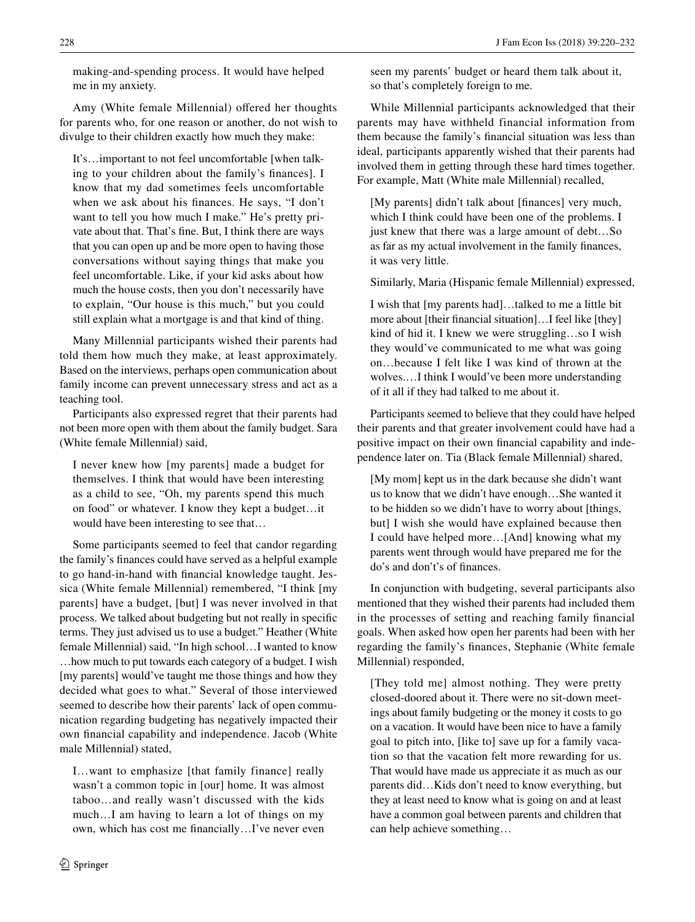making-and-spending process. It would have helped me in my anxiety.

Amy (White female Millennial) offered her thoughts for parents who, for one reason or another, do not wish to divulge to their children exactly how much they make:

It's…important to not feel uncomfortable [when talking to your children about the family's finances]. I know that my dad sometimes feels uncomfortable when we ask about his finances. He says, "I don't want to tell you how much I make." He's pretty private about that. That's fine. But, I think there are ways that you can open up and be more open to having those conversations without saying things that make you feel uncomfortable. Like, if your kid asks about how much the house costs, then you don't necessarily have to explain, "Our house is this much," but you could still explain what a mortgage is and that kind of thing.

Many Millennial participants wished their parents had told them how much they make, at least approximately. Based on the interviews, perhaps open communication about family income can prevent unnecessary stress and act as a teaching tool.

Participants also expressed regret that their parents had not been more open with them about the family budget. Sara (White female Millennial) said,

I never knew how [my parents] made a budget for themselves. I think that would have been interesting as a child to see, "Oh, my parents spend this much on food" or whatever. I know they kept a budget…it would have been interesting to see that…

Some participants seemed to feel that candor regarding the family's finances could have served as a helpful example to go hand-in-hand with financial knowledge taught. Jessica (White female Millennial) remembered, "I think [my parents] have a budget, [but] I was never involved in that process. We talked about budgeting but not really in specific terms. They just advised us to use a budget." Heather (White female Millennial) said, "In high school…I wanted to know …how much to put towards each category of a budget. I wish [my parents] would've taught me those things and how they decided what goes to what." Several of those interviewed seemed to describe how their parents' lack of open communication regarding budgeting has negatively impacted their own financial capability and independence. Jacob (White male Millennial) stated,

I…want to emphasize [that family finance] really wasn't a common topic in [our] home. It was almost taboo…and really wasn't discussed with the kids much…I am having to learn a lot of things on my own, which has cost me financially…I've never even seen my parents' budget or heard them talk about it, so that's completely foreign to me.

While Millennial participants acknowledged that their parents may have withheld financial information from them because the family's financial situation was less than ideal, participants apparently wished that their parents had involved them in getting through these hard times together. For example, Matt (White male Millennial) recalled,

[My parents] didn't talk about [finances] very much, which I think could have been one of the problems. I just knew that there was a large amount of debt…So as far as my actual involvement in the family finances, it was very little.

Similarly, Maria (Hispanic female Millennial) expressed,

I wish that [my parents had]…talked to me a little bit more about [their financial situation]...I feel like [they] kind of hid it. I knew we were struggling…so I wish they would've communicated to me what was going on…because I felt like I was kind of thrown at the wolves.…I think I would've been more understanding of it all if they had talked to me about it.

Participants seemed to believe that they could have helped their parents and that greater involvement could have had a positive impact on their own financial capability and independence later on. Tia (Black female Millennial) shared,

[My mom] kept us in the dark because she didn't want us to know that we didn't have enough…She wanted it to be hidden so we didn't have to worry about [things, but] I wish she would have explained because then I could have helped more…[And] knowing what my parents went through would have prepared me for the do's and don't's of finances.

In conjunction with budgeting, several participants also mentioned that they wished their parents had included them in the processes of setting and reaching family financial goals. When asked how open her parents had been with her regarding the family's finances, Stephanie (White female Millennial) responded,

[They told me] almost nothing. They were pretty closed-doored about it. There were no sit-down meetings about family budgeting or the money it costs to go on a vacation. It would have been nice to have a family goal to pitch into, [like to] save up for a family vacation so that the vacation felt more rewarding for us. That would have made us appreciate it as much as our parents did…Kids don't need to know everything, but they at least need to know what is going on and at least have a common goal between parents and children that can help achieve something…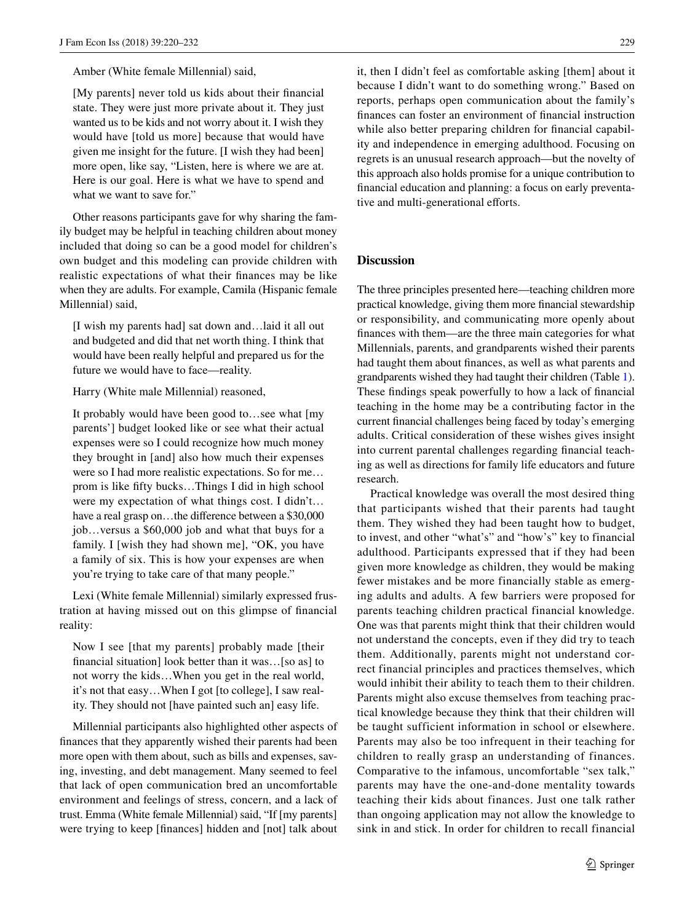Amber (White female Millennial) said,

[My parents] never told us kids about their financial state. They were just more private about it. They just wanted us to be kids and not worry about it. I wish they would have [told us more] because that would have given me insight for the future. [I wish they had been] more open, like say, "Listen, here is where we are at. Here is our goal. Here is what we have to spend and what we want to save for."

Other reasons participants gave for why sharing the family budget may be helpful in teaching children about money included that doing so can be a good model for children's own budget and this modeling can provide children with realistic expectations of what their finances may be like when they are adults. For example, Camila (Hispanic female Millennial) said,

[I wish my parents had] sat down and…laid it all out and budgeted and did that net worth thing. I think that would have been really helpful and prepared us for the future we would have to face—reality.

Harry (White male Millennial) reasoned,

It probably would have been good to…see what [my parents'] budget looked like or see what their actual expenses were so I could recognize how much money they brought in [and] also how much their expenses were so I had more realistic expectations. So for me… prom is like fifty bucks…Things I did in high school were my expectation of what things cost. I didn't… have a real grasp on...the difference between a \$30,000 job…versus a \$60,000 job and what that buys for a family. I [wish they had shown me], "OK, you have a family of six. This is how your expenses are when you're trying to take care of that many people."

Lexi (White female Millennial) similarly expressed frustration at having missed out on this glimpse of financial reality:

Now I see [that my parents] probably made [their financial situation] look better than it was…[so as] to not worry the kids…When you get in the real world, it's not that easy…When I got [to college], I saw reality. They should not [have painted such an] easy life.

Millennial participants also highlighted other aspects of finances that they apparently wished their parents had been more open with them about, such as bills and expenses, saving, investing, and debt management. Many seemed to feel that lack of open communication bred an uncomfortable environment and feelings of stress, concern, and a lack of trust. Emma (White female Millennial) said, "If [my parents] were trying to keep [finances] hidden and [not] talk about it, then I didn't feel as comfortable asking [them] about it because I didn't want to do something wrong." Based on reports, perhaps open communication about the family's finances can foster an environment of financial instruction while also better preparing children for financial capability and independence in emerging adulthood. Focusing on regrets is an unusual research approach—but the novelty of this approach also holds promise for a unique contribution to financial education and planning: a focus on early preventative and multi-generational efforts.

#### **Discussion**

The three principles presented here—teaching children more practical knowledge, giving them more financial stewardship or responsibility, and communicating more openly about finances with them—are the three main categories for what Millennials, parents, and grandparents wished their parents had taught them about finances, as well as what parents and grandparents wished they had taught their children (Table [1](#page-5-0)). These findings speak powerfully to how a lack of financial teaching in the home may be a contributing factor in the current financial challenges being faced by today's emerging adults. Critical consideration of these wishes gives insight into current parental challenges regarding financial teaching as well as directions for family life educators and future research.

Practical knowledge was overall the most desired thing that participants wished that their parents had taught them. They wished they had been taught how to budget, to invest, and other "what's" and "how's" key to financial adulthood. Participants expressed that if they had been given more knowledge as children, they would be making fewer mistakes and be more financially stable as emerging adults and adults. A few barriers were proposed for parents teaching children practical financial knowledge. One was that parents might think that their children would not understand the concepts, even if they did try to teach them. Additionally, parents might not understand correct financial principles and practices themselves, which would inhibit their ability to teach them to their children. Parents might also excuse themselves from teaching practical knowledge because they think that their children will be taught sufficient information in school or elsewhere. Parents may also be too infrequent in their teaching for children to really grasp an understanding of finances. Comparative to the infamous, uncomfortable "sex talk," parents may have the one-and-done mentality towards teaching their kids about finances. Just one talk rather than ongoing application may not allow the knowledge to sink in and stick. In order for children to recall financial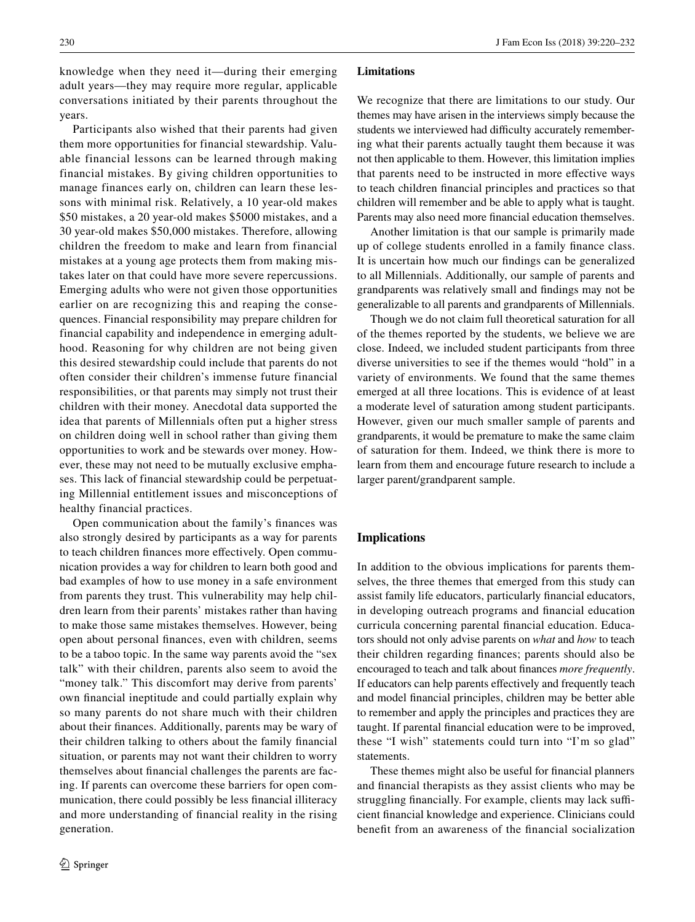knowledge when they need it—during their emerging adult years—they may require more regular, applicable conversations initiated by their parents throughout the years.

Participants also wished that their parents had given them more opportunities for financial stewardship. Valuable financial lessons can be learned through making financial mistakes. By giving children opportunities to manage finances early on, children can learn these lessons with minimal risk. Relatively, a 10 year-old makes \$50 mistakes, a 20 year-old makes \$5000 mistakes, and a 30 year-old makes \$50,000 mistakes. Therefore, allowing children the freedom to make and learn from financial mistakes at a young age protects them from making mistakes later on that could have more severe repercussions. Emerging adults who were not given those opportunities earlier on are recognizing this and reaping the consequences. Financial responsibility may prepare children for financial capability and independence in emerging adulthood. Reasoning for why children are not being given this desired stewardship could include that parents do not often consider their children's immense future financial responsibilities, or that parents may simply not trust their children with their money. Anecdotal data supported the idea that parents of Millennials often put a higher stress on children doing well in school rather than giving them opportunities to work and be stewards over money. However, these may not need to be mutually exclusive emphases. This lack of financial stewardship could be perpetuating Millennial entitlement issues and misconceptions of healthy financial practices.

Open communication about the family's finances was also strongly desired by participants as a way for parents to teach children finances more effectively. Open communication provides a way for children to learn both good and bad examples of how to use money in a safe environment from parents they trust. This vulnerability may help children learn from their parents' mistakes rather than having to make those same mistakes themselves. However, being open about personal finances, even with children, seems to be a taboo topic. In the same way parents avoid the "sex talk" with their children, parents also seem to avoid the "money talk." This discomfort may derive from parents' own financial ineptitude and could partially explain why so many parents do not share much with their children about their finances. Additionally, parents may be wary of their children talking to others about the family financial situation, or parents may not want their children to worry themselves about financial challenges the parents are facing. If parents can overcome these barriers for open communication, there could possibly be less financial illiteracy and more understanding of financial reality in the rising generation.

#### **Limitations**

We recognize that there are limitations to our study. Our themes may have arisen in the interviews simply because the students we interviewed had difficulty accurately remembering what their parents actually taught them because it was not then applicable to them. However, this limitation implies that parents need to be instructed in more effective ways to teach children financial principles and practices so that children will remember and be able to apply what is taught. Parents may also need more financial education themselves.

Another limitation is that our sample is primarily made up of college students enrolled in a family finance class. It is uncertain how much our findings can be generalized to all Millennials. Additionally, our sample of parents and grandparents was relatively small and findings may not be generalizable to all parents and grandparents of Millennials.

Though we do not claim full theoretical saturation for all of the themes reported by the students, we believe we are close. Indeed, we included student participants from three diverse universities to see if the themes would "hold" in a variety of environments. We found that the same themes emerged at all three locations. This is evidence of at least a moderate level of saturation among student participants. However, given our much smaller sample of parents and grandparents, it would be premature to make the same claim of saturation for them. Indeed, we think there is more to learn from them and encourage future research to include a larger parent/grandparent sample.

#### **Implications**

In addition to the obvious implications for parents themselves, the three themes that emerged from this study can assist family life educators, particularly financial educators, in developing outreach programs and financial education curricula concerning parental financial education. Educators should not only advise parents on *what* and *how* to teach their children regarding finances; parents should also be encouraged to teach and talk about finances *more frequently*. If educators can help parents effectively and frequently teach and model financial principles, children may be better able to remember and apply the principles and practices they are taught. If parental financial education were to be improved, these "I wish" statements could turn into "I'm so glad" statements.

These themes might also be useful for financial planners and financial therapists as they assist clients who may be struggling financially. For example, clients may lack sufficient financial knowledge and experience. Clinicians could benefit from an awareness of the financial socialization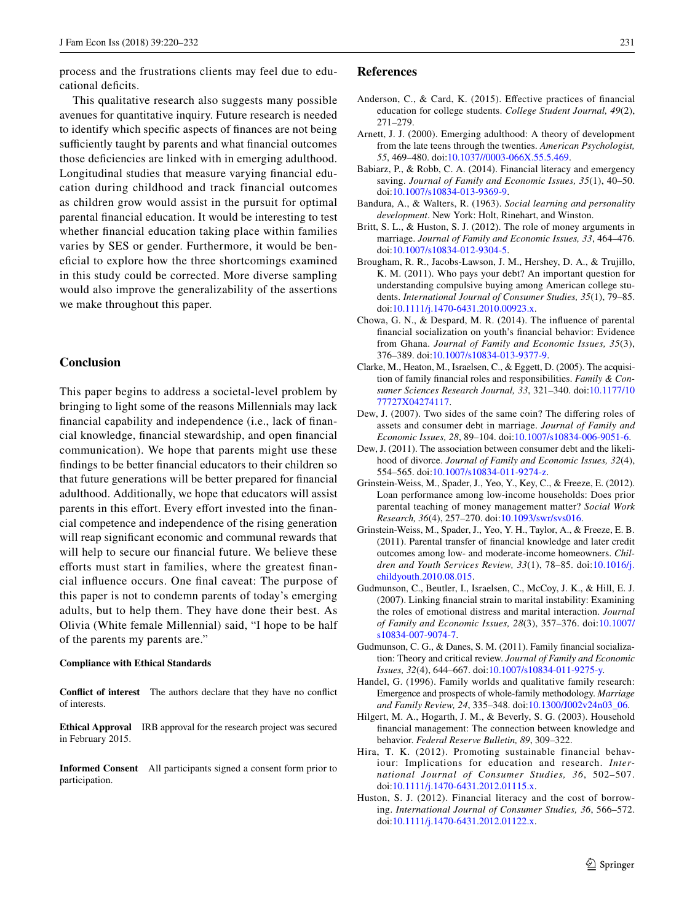process and the frustrations clients may feel due to educational deficits.

This qualitative research also suggests many possible avenues for quantitative inquiry. Future research is needed to identify which specific aspects of finances are not being sufficiently taught by parents and what financial outcomes those deficiencies are linked with in emerging adulthood. Longitudinal studies that measure varying financial education during childhood and track financial outcomes as children grow would assist in the pursuit for optimal parental financial education. It would be interesting to test whether financial education taking place within families varies by SES or gender. Furthermore, it would be beneficial to explore how the three shortcomings examined in this study could be corrected. More diverse sampling would also improve the generalizability of the assertions we make throughout this paper.

#### **Conclusion**

This paper begins to address a societal-level problem by bringing to light some of the reasons Millennials may lack financial capability and independence (i.e., lack of financial knowledge, financial stewardship, and open financial communication). We hope that parents might use these findings to be better financial educators to their children so that future generations will be better prepared for financial adulthood. Additionally, we hope that educators will assist parents in this effort. Every effort invested into the financial competence and independence of the rising generation will reap significant economic and communal rewards that will help to secure our financial future. We believe these efforts must start in families, where the greatest financial influence occurs. One final caveat: The purpose of this paper is not to condemn parents of today's emerging adults, but to help them. They have done their best. As Olivia (White female Millennial) said, "I hope to be half of the parents my parents are."

#### **Compliance with Ethical Standards**

**Conflict of interest** The authors declare that they have no conflict of interests.

**Ethical Approval** IRB approval for the research project was secured in February 2015.

**Informed Consent** All participants signed a consent form prior to participation.

#### **References**

- <span id="page-13-15"></span>Anderson, C., & Card, K. (2015). Effective practices of financial education for college students. *College Student Journal, 49*(2), 271–279.
- <span id="page-13-8"></span>Arnett, J. J. (2000). Emerging adulthood: A theory of development from the late teens through the twenties. *American Psychologist, 55*, 469–480. doi:[10.1037//0003-066X.55.5.469.](https://doi.org/10.1037//0003-066X.55.5.469)
- <span id="page-13-9"></span>Babiarz, P., & Robb, C. A. (2014). Financial literacy and emergency saving. *Journal of Family and Economic Issues, 35*(1), 40–50. doi:[10.1007/s10834-013-9369-9.](https://doi.org/10.1007/s10834-013-9369-9)
- <span id="page-13-13"></span>Bandura, A., & Walters, R. (1963). *Social learning and personality development*. New York: Holt, Rinehart, and Winston.
- <span id="page-13-3"></span>Britt, S. L., & Huston, S. J. (2012). The role of money arguments in marriage. *Journal of Family and Economic Issues, 33*, 464–476. doi:[10.1007/s10834-012-9304-5.](https://doi.org/10.1007/s10834-012-9304-5)
- <span id="page-13-16"></span>Brougham, R. R., Jacobs-Lawson, J. M., Hershey, D. A., & Trujillo, K. M. (2011). Who pays your debt? An important question for understanding compulsive buying among American college students. *International Journal of Consumer Studies, 35*(1), 79–85. doi:[10.1111/j.1470-6431.2010.00923.x](https://doi.org/10.1111/j.1470-6431.2010.00923.x).
- <span id="page-13-11"></span>Chowa, G. N., & Despard, M. R. (2014). The influence of parental financial socialization on youth's financial behavior: Evidence from Ghana. *Journal of Family and Economic Issues, 35*(3), 376–389. doi:[10.1007/s10834-013-9377-9.](https://doi.org/10.1007/s10834-013-9377-9)
- <span id="page-13-10"></span>Clarke, M., Heaton, M., Israelsen, C., & Eggett, D. (2005). The acquisition of family financial roles and responsibilities. *Family & Consumer Sciences Research Journal, 33*, 321–340. doi[:10.1177/10](https://doi.org/10.1177/1077727X04274117) [77727X04274117](https://doi.org/10.1177/1077727X04274117).
- <span id="page-13-4"></span>Dew, J. (2007). Two sides of the same coin? The differing roles of assets and consumer debt in marriage. *Journal of Family and Economic Issues, 28*, 89–104. doi:[10.1007/s10834-006-9051-6](https://doi.org/10.1007/s10834-006-9051-6).
- <span id="page-13-5"></span>Dew, J. (2011). The association between consumer debt and the likelihood of divorce. *Journal of Family and Economic Issues, 32*(4), 554–565. doi:[10.1007/s10834-011-9274-z](https://doi.org/10.1007/s10834-011-9274-z).
- <span id="page-13-7"></span>Grinstein-Weiss, M., Spader, J., Yeo, Y., Key, C., & Freeze, E. (2012). Loan performance among low-income households: Does prior parental teaching of money management matter? *Social Work Research, 36*(4), 257–270. doi[:10.1093/swr/svs016](https://doi.org/10.1093/swr/svs016).
- <span id="page-13-12"></span>Grinstein-Weiss, M., Spader, J., Yeo, Y. H., Taylor, A., & Freeze, E. B. (2011). Parental transfer of financial knowledge and later credit outcomes among low- and moderate-income homeowners. *Children and Youth Services Review, 33*(1), 78–85. doi[:10.1016/j.](https://doi.org/10.1016/j.childyouth.2010.08.015) [childyouth.2010.08.015.](https://doi.org/10.1016/j.childyouth.2010.08.015)
- <span id="page-13-6"></span>Gudmunson, C., Beutler, I., Israelsen, C., McCoy, J. K., & Hill, E. J. (2007). Linking financial strain to marital instability: Examining the roles of emotional distress and marital interaction. *Journal of Family and Economic Issues, 28*(3), 357–376. doi[:10.1007/](https://doi.org/10.1007/s10834-007-9074-7) [s10834-007-9074-7.](https://doi.org/10.1007/s10834-007-9074-7)
- <span id="page-13-14"></span>Gudmunson, C. G., & Danes, S. M. (2011). Family financial socialization: Theory and critical review. *Journal of Family and Economic Issues, 32*(4), 644–667. doi:[10.1007/s10834-011-9275-y](https://doi.org/10.1007/s10834-011-9275-y).
- <span id="page-13-17"></span>Handel, G. (1996). Family worlds and qualitative family research: Emergence and prospects of whole-family methodology. *Marriage and Family Review, 24*, 335–348. doi:[10.1300/J002v24n03\\_06](https://doi.org/10.1300/J002v24n03_06).
- <span id="page-13-0"></span>Hilgert, M. A., Hogarth, J. M., & Beverly, S. G. (2003). Household financial management: The connection between knowledge and behavior. *Federal Reserve Bulletin, 89*, 309–322.
- <span id="page-13-1"></span>Hira, T. K. (2012). Promoting sustainable financial behaviour: Implications for education and research. *International Journal of Consumer Studies, 36*, 502–507. doi:[10.1111/j.1470-6431.2012.01115.x](https://doi.org/10.1111/j.1470-6431.2012.01115.x).
- <span id="page-13-2"></span>Huston, S. J. (2012). Financial literacy and the cost of borrowing. *International Journal of Consumer Studies, 36*, 566–572. doi:[10.1111/j.1470-6431.2012.01122.x](https://doi.org/10.1111/j.1470-6431.2012.01122.x).